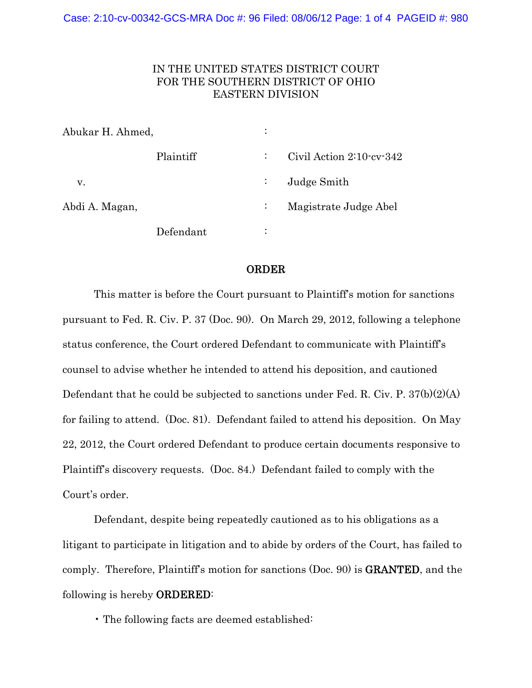## IN THE UNITED STATES DISTRICT COURT FOR THE SOUTHERN DISTRICT OF OHIO EASTERN DIVISION

| Abukar H. Ahmed, |           |                           |                              |
|------------------|-----------|---------------------------|------------------------------|
|                  | Plaintiff | ÷                         | Civil Action $2:10$ cv $342$ |
| v.               |           | $\mathbb{Z}^{\mathbb{Z}}$ | Judge Smith                  |
| Abdi A. Magan,   |           |                           | Magistrate Judge Abel        |
|                  | Defendant | ٠<br>٠                    |                              |

## ORDER

This matter is before the Court pursuant to Plaintiff's motion for sanctions pursuant to Fed. R. Civ. P. 37 (Doc. 90). On March 29, 2012, following a telephone status conference, the Court ordered Defendant to communicate with Plaintiff's counsel to advise whether he intended to attend his deposition, and cautioned Defendant that he could be subjected to sanctions under Fed. R. Civ. P. 37(b)(2)(A) for failing to attend. (Doc. 81). Defendant failed to attend his deposition. On May 22, 2012, the Court ordered Defendant to produce certain documents responsive to Plaintiff's discovery requests. (Doc. 84.) Defendant failed to comply with the Court's order.

Defendant, despite being repeatedly cautioned as to his obligations as a litigant to participate in litigation and to abide by orders of the Court, has failed to comply. Therefore, Plaintiff's motion for sanctions (Doc. 90) is GRANTED, and the following is hereby ORDERED:

• The following facts are deemed established: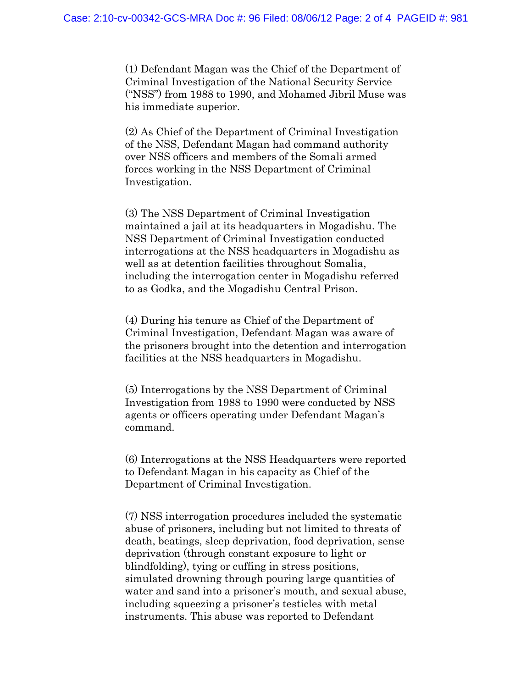(1) Defendant Magan was the Chief of the Department of Criminal Investigation of the National Security Service ("NSS") from 1988 to 1990, and Mohamed Jibril Muse was his immediate superior.

(2) As Chief of the Department of Criminal Investigation of the NSS, Defendant Magan had command authority over NSS officers and members of the Somali armed forces working in the NSS Department of Criminal Investigation.

(3) The NSS Department of Criminal Investigation maintained a jail at its headquarters in Mogadishu. The NSS Department of Criminal Investigation conducted interrogations at the NSS headquarters in Mogadishu as well as at detention facilities throughout Somalia, including the interrogation center in Mogadishu referred to as Godka, and the Mogadishu Central Prison.

(4) During his tenure as Chief of the Department of Criminal Investigation, Defendant Magan was aware of the prisoners brought into the detention and interrogation facilities at the NSS headquarters in Mogadishu.

(5) Interrogations by the NSS Department of Criminal Investigation from 1988 to 1990 were conducted by NSS agents or officers operating under Defendant Magan's command.

(6) Interrogations at the NSS Headquarters were reported to Defendant Magan in his capacity as Chief of the Department of Criminal Investigation.

(7) NSS interrogation procedures included the systematic abuse of prisoners, including but not limited to threats of death, beatings, sleep deprivation, food deprivation, sense deprivation (through constant exposure to light or blindfolding), tying or cuffing in stress positions, simulated drowning through pouring large quantities of water and sand into a prisoner's mouth, and sexual abuse, including squeezing a prisoner's testicles with metal instruments. This abuse was reported to Defendant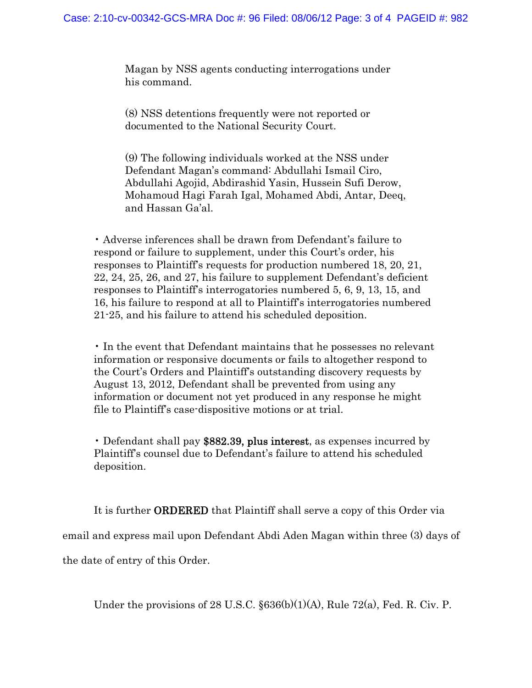Magan by NSS agents conducting interrogations under his command.

(8) NSS detentions frequently were not reported or documented to the National Security Court.

(9) The following individuals worked at the NSS under Defendant Magan's command: Abdullahi Ismail Ciro, Abdullahi Agojid, Abdirashid Yasin, Hussein Sufi Derow, Mohamoud Hagi Farah Igal, Mohamed Abdi, Antar, Deeq, and Hassan Ga'al.

• Adverse inferences shall be drawn from Defendant's failure to respond or failure to supplement, under this Court's order, his responses to Plaintiff's requests for production numbered 18, 20, 21, 22, 24, 25, 26, and 27, his failure to supplement Defendant's deficient responses to Plaintiff's interrogatories numbered 5, 6, 9, 13, 15, and 16, his failure to respond at all to Plaintiff's interrogatories numbered 21-25, and his failure to attend his scheduled deposition.

• In the event that Defendant maintains that he possesses no relevant information or responsive documents or fails to altogether respond to the Court's Orders and Plaintiff's outstanding discovery requests by August 13, 2012, Defendant shall be prevented from using any information or document not yet produced in any response he might file to Plaintiff's case-dispositive motions or at trial.

• Defendant shall pay \$882.39, plus interest, as expenses incurred by Plaintiff's counsel due to Defendant's failure to attend his scheduled deposition.

It is further ORDERED that Plaintiff shall serve a copy of this Order via

email and express mail upon Defendant Abdi Aden Magan within three (3) days of

the date of entry of this Order.

Under the provisions of 28 U.S.C.  $\S 636(b)(1)(A)$ , Rule 72(a), Fed. R. Civ. P.